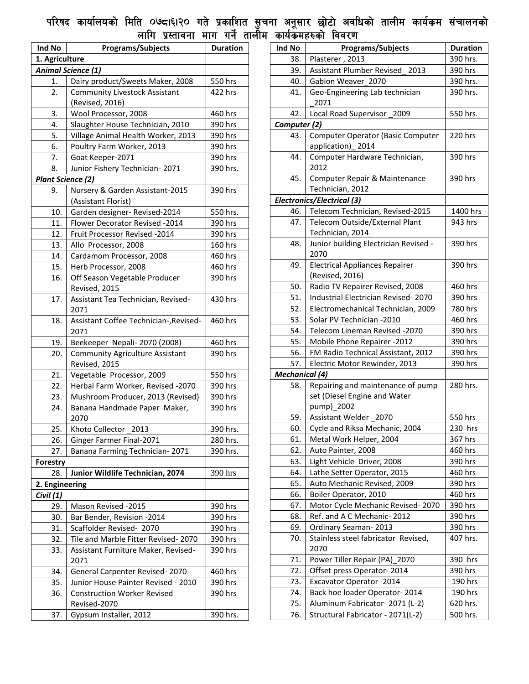## पारषद कायालयका ामात ०७द्दा६।२० गत प्रकाशित सुचना अनूसार छाटा अवाधका तालाम कायक्रम सचालनका लााग प्रस्तावना माग गन तालाम कायकमहरुका ाववरण

| Ind No                    | <b>Programs/Subjects</b>                                | <b>Duration</b> |  |  |
|---------------------------|---------------------------------------------------------|-----------------|--|--|
| 1. Agriculture            |                                                         |                 |  |  |
| <b>Animal Science (1)</b> |                                                         |                 |  |  |
| 1.                        | Dairy product/Sweets Maker, 2008                        | 550 hrs         |  |  |
| 2.                        | <b>Community Livestock Assistant</b>                    | 422 hrs         |  |  |
|                           | (Revised, 2016)                                         |                 |  |  |
| 3.                        | Wool Processor, 2008                                    | 460 hrs         |  |  |
| 4.                        | Slaughter House Technician, 2010                        | 390 hrs         |  |  |
| 5.                        | Village Animal Health Worker, 2013                      | 390 hrs         |  |  |
| 6.                        | Poultry Farm Worker, 2013                               | 390 hrs         |  |  |
| 7.                        | Goat Keeper-2071                                        | 390 hrs         |  |  |
| 8.                        | Junior Fishery Technician-2071                          | 390 hrs.        |  |  |
| <b>Plant Science (2)</b>  |                                                         |                 |  |  |
| 9.                        | Nursery & Garden Assistant-2015<br>(Assistant Florist)  | 390 hrs         |  |  |
| 10.                       | Garden designer- Revised-2014                           | 550 hrs.        |  |  |
| 11.                       | Flower Decorator Revised -2014                          | 390 hrs         |  |  |
| 12.                       | Fruit Processor Revised -2014                           | 390 hrs         |  |  |
| 13.                       | Allo Processor, 2008                                    | 160 hrs         |  |  |
| 14.                       | Cardamom Processor, 2008                                | 460 hrs         |  |  |
| 15.                       | Herb Processor, 2008                                    | 460 hrs         |  |  |
| 16.                       | Off Season Vegetable Producer<br>Revised, 2015          | 390 hrs         |  |  |
| 17.                       | Assistant Tea Technician, Revised-<br>2071              | 430 hrs         |  |  |
| 18.                       | Assistant Coffee Technician-, Revised-<br>2071          | 460 hrs         |  |  |
| 19.                       | Beekeeper Nepali-2070 (2008)                            | 460 hrs         |  |  |
| 20.                       | <b>Community Agriculture Assistant</b><br>Revised, 2015 | 390 hrs         |  |  |
| 21.                       | Vegetable Processor, 2009                               | 550 hrs         |  |  |
| 22.                       | Herbal Farm Worker, Revised -2070                       | 390 hrs         |  |  |
| 23.                       | Mushroom Producer, 2013 (Revised)                       | 390 hrs         |  |  |
| 24.                       | Banana Handmade Paper Maker,<br>2070                    | 390 hrs         |  |  |
| 25.                       | Khoto Collector_2013                                    | 390 hrs.        |  |  |
| 26.                       | Ginger Farmer Final-2071                                | 280 hrs.        |  |  |
| 27.                       | Banana Farming Technician-2071                          | 390 hrs.        |  |  |
| <b>Forestry</b>           |                                                         |                 |  |  |
| 28.                       | Junior Wildlife Technician, 2074                        | 390 hrs         |  |  |
| 2. Engineering            |                                                         |                 |  |  |
| Civil (1)                 |                                                         |                 |  |  |
| 29.                       | Mason Revised -2015                                     | 390 hrs         |  |  |
| 30.                       | Bar Bender, Revision -2014                              | 390 hrs         |  |  |
| 31.                       | Scaffolder Revised- 2070                                | 390 hrs         |  |  |
| 32.                       | Tile and Marble Fitter Revised-2070                     | 390 hrs         |  |  |
| 33.                       | Assistant Furniture Maker, Revised-<br>2071             | 390 hrs         |  |  |
| 34.                       | General Carpenter Revised-2070                          | 460 hrs         |  |  |
| 35.                       | Junior House Painter Revised - 2010                     | 390 hrs         |  |  |
| 36.                       | <b>Construction Worker Revised</b><br>Revised-2070      | 390 hrs         |  |  |
| 37.                       | Gypsum Installer, 2012                                  | 390 hrs.        |  |  |

| Plasterer, 2013<br>390 hrs.<br>38.<br>Assistant Plumber Revised 2013<br>39.<br>390 hrs<br>Gabion Weaver_2070<br>390 hrs.<br>40.<br>Geo-Engineering Lab technician<br>390 hrs.<br>41.<br>2071<br>42.<br>Local Road Supervisor<br>2009<br>550 hrs.<br>Computer (2)<br>Computer Operator (Basic Computer<br>43.<br>220 hrs<br>application)_2014 |  |
|----------------------------------------------------------------------------------------------------------------------------------------------------------------------------------------------------------------------------------------------------------------------------------------------------------------------------------------------|--|
|                                                                                                                                                                                                                                                                                                                                              |  |
|                                                                                                                                                                                                                                                                                                                                              |  |
|                                                                                                                                                                                                                                                                                                                                              |  |
|                                                                                                                                                                                                                                                                                                                                              |  |
|                                                                                                                                                                                                                                                                                                                                              |  |
|                                                                                                                                                                                                                                                                                                                                              |  |
|                                                                                                                                                                                                                                                                                                                                              |  |
|                                                                                                                                                                                                                                                                                                                                              |  |
|                                                                                                                                                                                                                                                                                                                                              |  |
| 44.<br>Computer Hardware Technician,<br>390 hrs                                                                                                                                                                                                                                                                                              |  |
| 2012                                                                                                                                                                                                                                                                                                                                         |  |
| 45.<br>Computer Repair & Maintenance<br>390 hrs                                                                                                                                                                                                                                                                                              |  |
| Technician, 2012                                                                                                                                                                                                                                                                                                                             |  |
| <b>Electronics/Electrical (3)</b>                                                                                                                                                                                                                                                                                                            |  |
| Telecom Technician, Revised-2015<br>46.<br>1400 hrs                                                                                                                                                                                                                                                                                          |  |
| 47.<br>Telecom Outside/External Plant<br>943 hrs                                                                                                                                                                                                                                                                                             |  |
| Technician, 2014                                                                                                                                                                                                                                                                                                                             |  |
| Junior building Electrician Revised -<br>48.<br>390 hrs                                                                                                                                                                                                                                                                                      |  |
| 2070                                                                                                                                                                                                                                                                                                                                         |  |
| <b>Electrical Appliances Repairer</b><br>49.<br>390 hrs                                                                                                                                                                                                                                                                                      |  |
| (Revised, 2016)                                                                                                                                                                                                                                                                                                                              |  |
| Radio TV Repairer Revised, 2008<br>50.<br>460 hrs                                                                                                                                                                                                                                                                                            |  |
| 51.<br>Industrial Electrician Revised-2070<br>390 hrs                                                                                                                                                                                                                                                                                        |  |
| 52.<br>Electromechanical Technician, 2009<br>780 hrs                                                                                                                                                                                                                                                                                         |  |
| Solar PV Technician -2010<br>53.<br>460 hrs                                                                                                                                                                                                                                                                                                  |  |
| 54.<br>Telecom Lineman Revised -2070<br>390 hrs                                                                                                                                                                                                                                                                                              |  |
| 55.<br>Mobile Phone Repairer -2012<br>390 hrs                                                                                                                                                                                                                                                                                                |  |
| 56.<br>FM Radio Technical Assistant, 2012<br>390 hrs                                                                                                                                                                                                                                                                                         |  |
| 57.<br>Electric Motor Rewinder, 2013<br>390 hrs                                                                                                                                                                                                                                                                                              |  |
| <b>Mechanical</b> (4)                                                                                                                                                                                                                                                                                                                        |  |
| Repairing and maintenance of pump<br>280 hrs.<br>58.                                                                                                                                                                                                                                                                                         |  |
| set (Diesel Engine and Water<br>pump)_2002                                                                                                                                                                                                                                                                                                   |  |
| Assistant Welder_2070<br>59.<br>550 hrs                                                                                                                                                                                                                                                                                                      |  |
| Cycle and Riksa Mechanic, 2004<br>230 hrs<br>60.                                                                                                                                                                                                                                                                                             |  |
| 61.<br>Metal Work Helper, 2004<br>367 hrs                                                                                                                                                                                                                                                                                                    |  |
| Auto Painter, 2008<br>460 hrs<br>62.                                                                                                                                                                                                                                                                                                         |  |
| 63.<br>Light Vehicle Driver, 2008<br>390 hrs                                                                                                                                                                                                                                                                                                 |  |
| 64.<br>Lathe Setter Operator, 2015<br>460 hrs                                                                                                                                                                                                                                                                                                |  |
| 65.<br>Auto Mechanic Revised, 2009<br>390 hrs                                                                                                                                                                                                                                                                                                |  |
| 66.<br>Boiler Operator, 2010<br>460 hrs                                                                                                                                                                                                                                                                                                      |  |
| Motor Cycle Mechanic Revised-2070<br>67.<br>390 hrs                                                                                                                                                                                                                                                                                          |  |
| Ref. and A C Mechanic-2012<br>68.<br>390 hrs                                                                                                                                                                                                                                                                                                 |  |
| 69.<br>Ordinary Seaman-2013<br>390 hrs                                                                                                                                                                                                                                                                                                       |  |
| 70.<br>Stainless steel fabricator Revised,<br>407 hrs.                                                                                                                                                                                                                                                                                       |  |
| 2070                                                                                                                                                                                                                                                                                                                                         |  |
| Power Tiller Repair (PA)_2070<br>71.<br>390 hrs                                                                                                                                                                                                                                                                                              |  |
| Offset press Operator-2014<br>72.<br>390 hrs                                                                                                                                                                                                                                                                                                 |  |
| 73.<br>Excavator Operator -2014<br>190 hrs                                                                                                                                                                                                                                                                                                   |  |
| 74.<br>Back hoe loader Operator-2014<br>190 hrs                                                                                                                                                                                                                                                                                              |  |
| Aluminum Fabricator-2071 (L-2)<br>75.<br>620 hrs.                                                                                                                                                                                                                                                                                            |  |
| Structural Fabricator - 2071(L-2)<br>500 hrs.<br>76.                                                                                                                                                                                                                                                                                         |  |